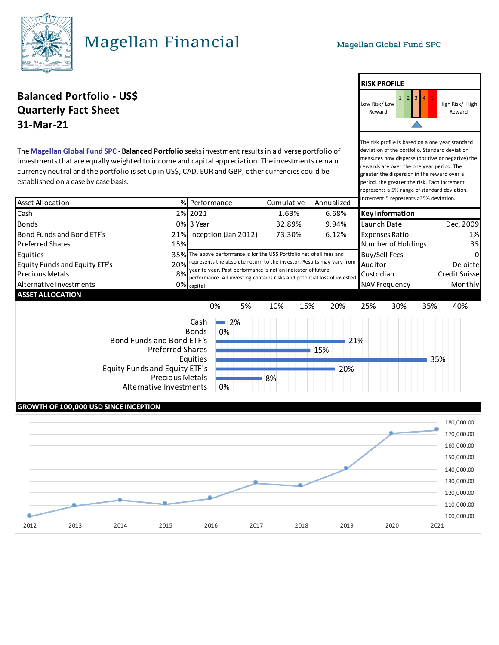**RISK PROFILE**

The risk profile is based on a one year standard deviation of the portfolio. Standard deviation measures how disperse (positive or negative) the rewards are over the one year period. The greater the dispersion in the reward over a period, the greater the risk. Each increment represents a 5% range of standard deviation.

High Risk/ High Reward

Low Risk/ Low Reward

# **Magellan Financial**

### **Balanced Portfolio - US\$** <sup>1</sup> <sup>2</sup> <sup>3</sup> <sup>4</sup> <sup>5</sup> **Quarterly Fact Sheet 31-Mar-21**

The **Magellan Global Fund SPC** - **Balanced Portfolio** seeks investment results in a diverse portfolio of investments that are equally weighted to income and capital appreciation. The investments remain currency neutral and the portfolio is set up in US\$, CAD, EUR and GBP, other currencies could be established on a case by case basis.

| <b>Asset Allocation</b>                                                                                                                                                        |     | % Performance                                                                                                                             |                          |           | Annualized<br>Cumulative |       | Increment 5 represents >35% deviation. |                             |     |               |
|--------------------------------------------------------------------------------------------------------------------------------------------------------------------------------|-----|-------------------------------------------------------------------------------------------------------------------------------------------|--------------------------|-----------|--------------------------|-------|----------------------------------------|-----------------------------|-----|---------------|
| Cash                                                                                                                                                                           |     | 2% 2021                                                                                                                                   |                          | 1.63%     |                          | 6.68% | <b>Key Information</b>                 |                             |     |               |
| <b>Bonds</b>                                                                                                                                                                   |     | 0% 3 Year                                                                                                                                 |                          | 32.89%    |                          | 9.94% | Launch Date                            |                             |     | Dec, 2009     |
| Bond Funds and Bond ETF's                                                                                                                                                      |     |                                                                                                                                           | 21% Inception (Jan 2012) | 73.30%    |                          | 6.12% | <b>Expenses Ratio</b>                  |                             |     | 1%            |
| <b>Preferred Shares</b>                                                                                                                                                        | 15% |                                                                                                                                           |                          |           |                          |       | Number of Holdings<br>35               |                             |     |               |
| Equities                                                                                                                                                                       |     | 35% The above performance is for the US\$ Portfolio net of all fees and                                                                   |                          |           |                          |       | Buy/Sell Fees<br>0                     |                             |     |               |
| <b>Equity Funds and Equity ETF's</b>                                                                                                                                           |     | 20% represents the absolute return to the investor. Results may vary from<br>year to year. Past performance is not an indicator of future |                          |           |                          |       |                                        | Auditor<br><b>Deloittel</b> |     |               |
| <b>Precious Metals</b>                                                                                                                                                         | 8%  | performance. All investing contains risks and potential loss of invested                                                                  |                          |           |                          |       |                                        | Custodian                   |     | Credit Suisse |
| Alternative Investments                                                                                                                                                        |     | $0\%$ capital.                                                                                                                            |                          |           |                          |       | <b>Monthly</b><br><b>NAV Frequency</b> |                             |     |               |
| <b>ASSET ALLOCATION</b>                                                                                                                                                        |     |                                                                                                                                           |                          |           |                          |       |                                        |                             |     |               |
|                                                                                                                                                                                |     | 0%                                                                                                                                        | 5%                       | 10%       | 15%                      | 20%   | 25%                                    | 30%                         | 35% | 40%           |
| Cash<br><b>Bonds</b><br>Bond Funds and Bond ETF's<br><b>Preferred Shares</b><br>Equities<br>Equity Funds and Equity ETF's<br><b>Precious Metals</b><br>Alternative Investments |     |                                                                                                                                           | 2%<br>0%<br>21%<br>15%   |           |                          |       |                                        |                             | 35% |               |
|                                                                                                                                                                                |     |                                                                                                                                           | 0%                       | 20%<br>8% |                          |       |                                        |                             |     |               |

### **GROWTH OF 100,000 USD SINCE INCEPTION**